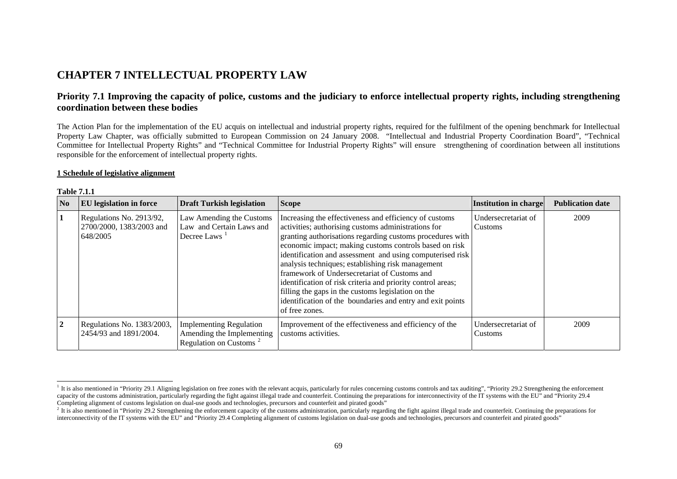# **CHAPTER 7 INTELLECTUAL PROPERTY LAW**

## **Priority 7.1 Improving the capacity of police, customs and the judiciary to enforce intellectual property rights, including strengthening coordination between these bodies**

The Action Plan for the implementation of the EU acquis on intellectual and industrial property rights, required for the fulfilment of the opening benchmark for Intellectual Property Law Chapter, was officially submitted to European Commission on 24 January 2008. "Intellectual and Industrial Property Coordination Board", "Technical Committee for Intellectual Property Rights" and "Technical Committee for Industrial Property Rights" will ensure strengthening of coordination between all institutions responsible for the enforcement of intellectual property rights.

#### **1 Schedule of legislative alignment**

| N <sub>0</sub> | <b>EU</b> legislation in force                                   | <b>Draft Turkish legislation</b>                                                                  | <b>Scope</b>                                                                                                                                                                                                                                                                                                                                                                                                                                                                                                                                                                                                | Institution in charge          | <b>Publication date</b> |
|----------------|------------------------------------------------------------------|---------------------------------------------------------------------------------------------------|-------------------------------------------------------------------------------------------------------------------------------------------------------------------------------------------------------------------------------------------------------------------------------------------------------------------------------------------------------------------------------------------------------------------------------------------------------------------------------------------------------------------------------------------------------------------------------------------------------------|--------------------------------|-------------------------|
| $\mathbf{1}$   | Regulations No. 2913/92,<br>2700/2000, 1383/2003 and<br>648/2005 | Law Amending the Customs<br>Law and Certain Laws and<br>Decree Laws                               | Increasing the effectiveness and efficiency of customs<br>activities; authorising customs administrations for<br>granting authorisations regarding customs procedures with<br>economic impact; making customs controls based on risk<br>identification and assessment and using computerised risk<br>analysis techniques; establishing risk management<br>framework of Undersecretariat of Customs and<br>identification of risk criteria and priority control areas;<br>filling the gaps in the customs legislation on the<br>identification of the boundaries and entry and exit points<br>of free zones. | Undersecretariat of<br>Customs | 2009                    |
| $\overline{2}$ | Regulations No. 1383/2003,<br>2454/93 and 1891/2004.             | <b>Implementing Regulation</b><br>Amending the Implementing<br>Regulation on Customs <sup>2</sup> | Improvement of the effectiveness and efficiency of the<br>customs activities.                                                                                                                                                                                                                                                                                                                                                                                                                                                                                                                               | Undersecretariat of<br>Customs | 2009                    |

#### **Table 7.1.1**

<span id="page-0-0"></span> $1$  It is also mentioned in "Priority 29.1 Aligning legislation on free zones with the relevant acquis, particularly for rules concerning customs controls and tax auditing", "Priority 29.2 Strengthening the enforcement capacity of the customs administration, particularly regarding the fight against illegal trade and counterfeit. Continuing the preparations for interconnectivity of the IT systems with the EU" and "Priority 29.4 Completing alignment of customs legislation on dual-use goods and technologies, precursors and counterfeit and pirated goods"

<span id="page-0-1"></span> $^2$  It is also mentioned in "Priority 29.2 Strengthening the enforcement capacity of the customs administration, particularly regarding the fight against illegal trade and counterfeit. Continuing the preparations for interconnectivity of the IT systems with the EU" and "Priority 29.4 Completing alignment of customs legislation on dual-use goods and technologies, precursors and counterfeit and pirated goods"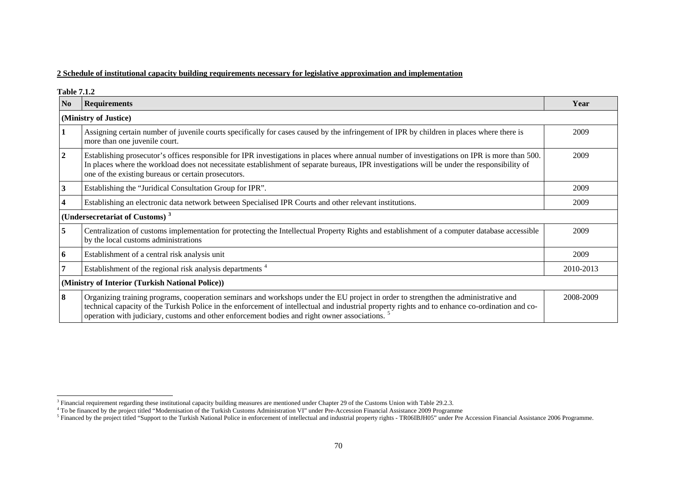### **2 Schedule of institutional capacity building requirements necessary for legislative approximation and implementation**

**Table 7.1.2** 

| N <sub>0</sub>                                   | <b>Requirements</b>                                                                                                                                                                                                                                                                                                                                                                                 | Year      |  |  |  |
|--------------------------------------------------|-----------------------------------------------------------------------------------------------------------------------------------------------------------------------------------------------------------------------------------------------------------------------------------------------------------------------------------------------------------------------------------------------------|-----------|--|--|--|
|                                                  | (Ministry of Justice)                                                                                                                                                                                                                                                                                                                                                                               |           |  |  |  |
|                                                  | Assigning certain number of juvenile courts specifically for cases caused by the infringement of IPR by children in places where there is<br>more than one juvenile court.                                                                                                                                                                                                                          | 2009      |  |  |  |
| 2                                                | Establishing prosecutor's offices responsible for IPR investigations in places where annual number of investigations on IPR is more than 500.<br>In places where the workload does not necessitate establishment of separate bureaus, IPR investigations will be under the responsibility of<br>one of the existing bureaus or certain prosecutors.                                                 | 2009      |  |  |  |
|                                                  | Establishing the "Juridical Consultation Group for IPR".                                                                                                                                                                                                                                                                                                                                            | 2009      |  |  |  |
|                                                  | Establishing an electronic data network between Specialised IPR Courts and other relevant institutions.                                                                                                                                                                                                                                                                                             | 2009      |  |  |  |
|                                                  | (Undersecretariat of Customs) <sup>3</sup>                                                                                                                                                                                                                                                                                                                                                          |           |  |  |  |
| 5                                                | Centralization of customs implementation for protecting the Intellectual Property Rights and establishment of a computer database accessible<br>by the local customs administrations                                                                                                                                                                                                                | 2009      |  |  |  |
| 6                                                | Establishment of a central risk analysis unit                                                                                                                                                                                                                                                                                                                                                       | 2009      |  |  |  |
|                                                  | Establishment of the regional risk analysis departments <sup>4</sup>                                                                                                                                                                                                                                                                                                                                | 2010-2013 |  |  |  |
| (Ministry of Interior (Turkish National Police)) |                                                                                                                                                                                                                                                                                                                                                                                                     |           |  |  |  |
| 8                                                | Organizing training programs, cooperation seminars and workshops under the EU project in order to strengthen the administrative and<br>technical capacity of the Turkish Police in the enforcement of intellectual and industrial property rights and to enhance co-ordination and co-<br>operation with judiciary, customs and other enforcement bodies and right owner associations. <sup>5</sup> | 2008-2009 |  |  |  |

<span id="page-1-1"></span><span id="page-1-0"></span> $3$  Financial requirement regarding these institutional capacity building measures are mentioned under Chapter 29 of the Customs Union with Table 29.2.3.

<sup>4</sup> To be financed by the project titled "Modernisation of the Turkish Customs Administration VI" under Pre-Accession Financial Assistance 2009 Programme

<span id="page-1-2"></span> $<sup>5</sup>$  Financed by the project titled "Support to the Turkish National Police in enforcement of intellectual and industrial property rights - TR06IBJH05" under Pre Accession Financial Assistance 2006 Programme.</sup>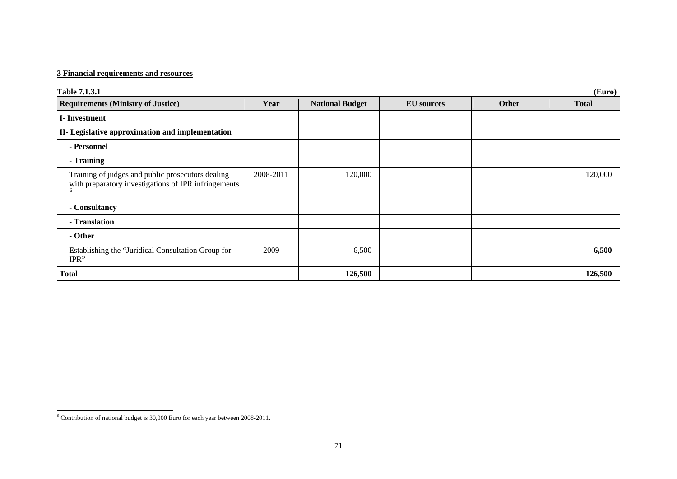## **3 Financial requirements and resources**

| <b>Table 7.1.3.1</b>                                                                                           | (Euro)    |                        |                   |       |              |  |
|----------------------------------------------------------------------------------------------------------------|-----------|------------------------|-------------------|-------|--------------|--|
| <b>Requirements (Ministry of Justice)</b>                                                                      | Year      | <b>National Budget</b> | <b>EU</b> sources | Other | <b>Total</b> |  |
| <b>I</b> -Investment                                                                                           |           |                        |                   |       |              |  |
| II- Legislative approximation and implementation                                                               |           |                        |                   |       |              |  |
| - Personnel                                                                                                    |           |                        |                   |       |              |  |
| - Training                                                                                                     |           |                        |                   |       |              |  |
| Training of judges and public prosecutors dealing<br>with preparatory investigations of IPR infringements<br>6 | 2008-2011 | 120,000                |                   |       | 120,000      |  |
| - Consultancy                                                                                                  |           |                        |                   |       |              |  |
| - Translation                                                                                                  |           |                        |                   |       |              |  |
| - Other                                                                                                        |           |                        |                   |       |              |  |
| Establishing the "Juridical Consultation Group for<br>IPR"                                                     | 2009      | 6,500                  |                   |       | 6,500        |  |
| <b>Total</b>                                                                                                   |           | 126,500                |                   |       | 126,500      |  |

<span id="page-2-0"></span> $6$  Contribution of national budget is 30,000 Euro for each year between 2008-2011.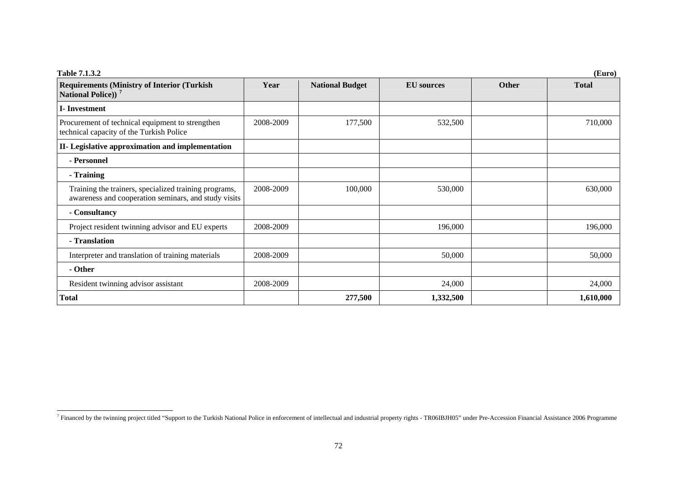| Table 7.1.3.2<br>(Euro)                                                                                       |           |                        |                   |              |              |
|---------------------------------------------------------------------------------------------------------------|-----------|------------------------|-------------------|--------------|--------------|
| <b>Requirements (Ministry of Interior (Turkish)</b><br>National Police)) <sup>7</sup>                         | Year      | <b>National Budget</b> | <b>EU</b> sources | <b>Other</b> | <b>Total</b> |
| <b>I</b> -Investment                                                                                          |           |                        |                   |              |              |
| Procurement of technical equipment to strengthen<br>technical capacity of the Turkish Police                  | 2008-2009 | 177,500                | 532,500           |              | 710,000      |
| II- Legislative approximation and implementation                                                              |           |                        |                   |              |              |
| - Personnel                                                                                                   |           |                        |                   |              |              |
| - Training                                                                                                    |           |                        |                   |              |              |
| Training the trainers, specialized training programs,<br>awareness and cooperation seminars, and study visits | 2008-2009 | 100,000                | 530,000           |              | 630,000      |
| - Consultancy                                                                                                 |           |                        |                   |              |              |
| Project resident twinning advisor and EU experts                                                              | 2008-2009 |                        | 196,000           |              | 196,000      |
| - Translation                                                                                                 |           |                        |                   |              |              |
| Interpreter and translation of training materials                                                             | 2008-2009 |                        | 50,000            |              | 50,000       |
| - Other                                                                                                       |           |                        |                   |              |              |
| Resident twinning advisor assistant                                                                           | 2008-2009 |                        | 24,000            |              | 24,000       |
| <b>Total</b>                                                                                                  |           | 277,500                | 1,332,500         |              | 1,610,000    |

<span id="page-3-0"></span><sup>&</sup>lt;sup>7</sup> Financed by the twinning project titled "Support to the Turkish National Police in enforcement of intellectual and industrial property rights - TR06IBJH05" under Pre-Accession Financial Assistance 2006 Programme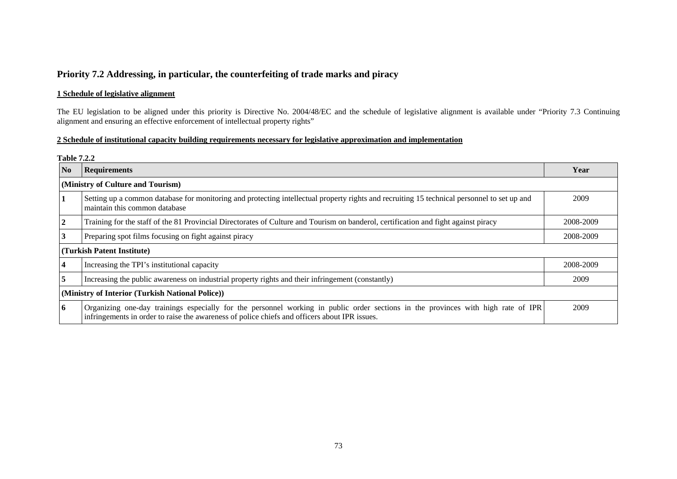## **Priority 7.2 Addressing, in particular, the counterfeiting of trade marks and piracy**

### **1 Schedule of legislative alignment**

The EU legislation to be aligned under this priority is Directive No. 2004/48/EC and the schedule of legislative alignment is available under "Priority 7.3 Continuing alignment and ensuring an effective enforcement of intellectual property rights"

### **2 Schedule of institutional capacity building requirements necessary for legislative approximation and implementation**

#### **Table 7.2.2**

| N <sub>o</sub>                                   | <b>Requirements</b>                                                                                                                                                                                                                | Year      |  |  |
|--------------------------------------------------|------------------------------------------------------------------------------------------------------------------------------------------------------------------------------------------------------------------------------------|-----------|--|--|
| (Ministry of Culture and Tourism)                |                                                                                                                                                                                                                                    |           |  |  |
|                                                  | Setting up a common database for monitoring and protecting intellectual property rights and recruiting 15 technical personnel to set up and<br>maintain this common database                                                       | 2009      |  |  |
| $\overline{2}$                                   | Training for the staff of the 81 Provincial Directorates of Culture and Tourism on banderol, certification and fight against piracy                                                                                                | 2008-2009 |  |  |
| 3                                                | Preparing spot films focusing on fight against piracy                                                                                                                                                                              | 2008-2009 |  |  |
| (Turkish Patent Institute)                       |                                                                                                                                                                                                                                    |           |  |  |
| $\overline{\mathbf{4}}$                          | Increasing the TPI's institutional capacity                                                                                                                                                                                        | 2008-2009 |  |  |
| 5                                                | Increasing the public awareness on industrial property rights and their infringement (constantly)                                                                                                                                  | 2009      |  |  |
| (Ministry of Interior (Turkish National Police)) |                                                                                                                                                                                                                                    |           |  |  |
| 6                                                | Organizing one-day trainings especially for the personnel working in public order sections in the provinces with high rate of IPR<br>infringements in order to raise the awareness of police chiefs and officers about IPR issues. | 2009      |  |  |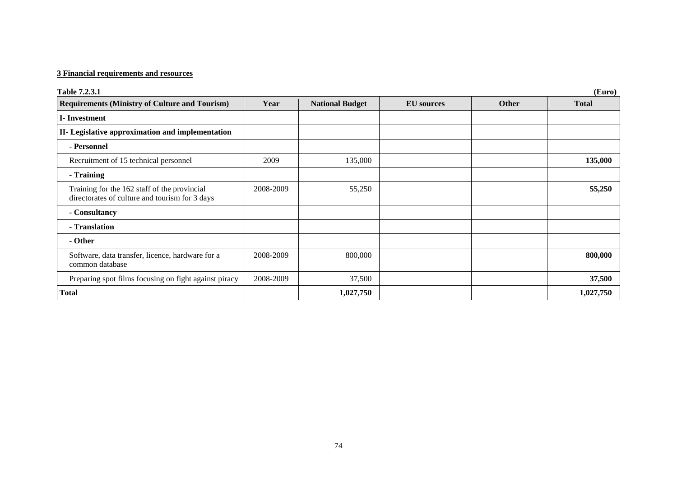## **3 Financial requirements and resources**

| Table 7.2.3.1                                                                                  | (Euro)    |                        |                   |              |              |  |
|------------------------------------------------------------------------------------------------|-----------|------------------------|-------------------|--------------|--------------|--|
| <b>Requirements (Ministry of Culture and Tourism)</b>                                          | Year      | <b>National Budget</b> | <b>EU</b> sources | <b>Other</b> | <b>Total</b> |  |
| I-Investment                                                                                   |           |                        |                   |              |              |  |
| II- Legislative approximation and implementation                                               |           |                        |                   |              |              |  |
| - Personnel                                                                                    |           |                        |                   |              |              |  |
| Recruitment of 15 technical personnel                                                          | 2009      | 135,000                |                   |              | 135,000      |  |
| - Training                                                                                     |           |                        |                   |              |              |  |
| Training for the 162 staff of the provincial<br>directorates of culture and tourism for 3 days | 2008-2009 | 55,250                 |                   |              | 55,250       |  |
| - Consultancy                                                                                  |           |                        |                   |              |              |  |
| - Translation                                                                                  |           |                        |                   |              |              |  |
| - Other                                                                                        |           |                        |                   |              |              |  |
| Software, data transfer, licence, hardware for a<br>common database                            | 2008-2009 | 800,000                |                   |              | 800,000      |  |
| Preparing spot films focusing on fight against piracy                                          | 2008-2009 | 37,500                 |                   |              | 37,500       |  |
| <b>Total</b>                                                                                   |           | 1,027,750              |                   |              | 1,027,750    |  |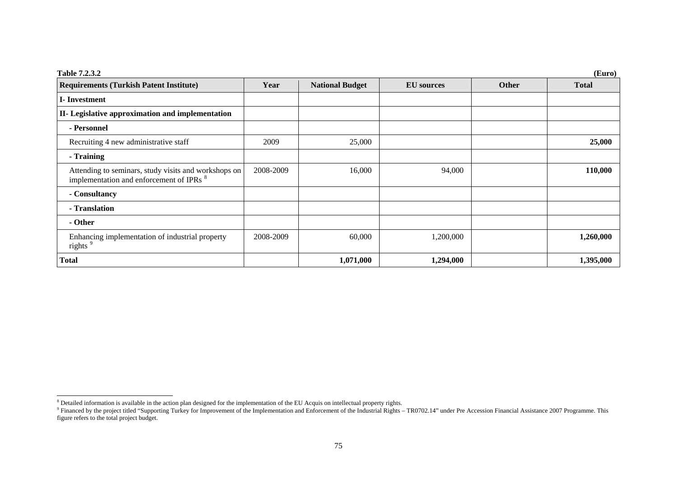| Table 7.2.3.2<br>(Euro)                                                                                     |           |                        |                   |              |              |
|-------------------------------------------------------------------------------------------------------------|-----------|------------------------|-------------------|--------------|--------------|
| <b>Requirements (Turkish Patent Institute)</b>                                                              | Year      | <b>National Budget</b> | <b>EU</b> sources | <b>Other</b> | <b>Total</b> |
| <b>I</b> -Investment                                                                                        |           |                        |                   |              |              |
| II- Legislative approximation and implementation                                                            |           |                        |                   |              |              |
| - Personnel                                                                                                 |           |                        |                   |              |              |
| Recruiting 4 new administrative staff                                                                       | 2009      | 25,000                 |                   |              | 25,000       |
| - Training                                                                                                  |           |                        |                   |              |              |
| Attending to seminars, study visits and workshops on<br>implementation and enforcement of IPRs <sup>8</sup> | 2008-2009 | 16,000                 | 94,000            |              | 110,000      |
| - Consultancy                                                                                               |           |                        |                   |              |              |
| - Translation                                                                                               |           |                        |                   |              |              |
| - Other                                                                                                     |           |                        |                   |              |              |
| Enhancing implementation of industrial property<br>rights <sup>9</sup>                                      | 2008-2009 | 60,000                 | 1,200,000         |              | 1,260,000    |
| <b>Total</b>                                                                                                |           | 1,071,000              | 1,294,000         |              | 1,395,000    |

<span id="page-6-1"></span><span id="page-6-0"></span> $8$  Detailed information is available in the action plan designed for the implementation of the EU Acquis on intellectual property rights.

 $9$  Financed by the project titled "Supporting Turkey for Improvement of the Implementation and Enforcement of the Industrial Rights – TR0702.14" under Pre Accession Financial Assistance 2007 Programme. This figure refers to the total project budget.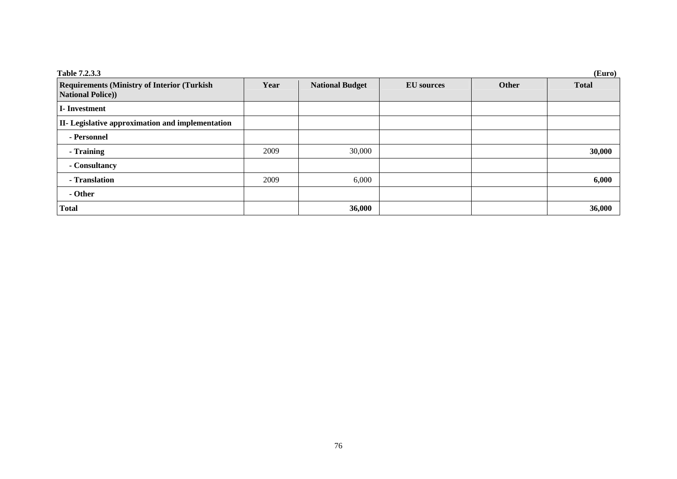| Table 7.2.3.3<br>(Euro)                                                        |      |                        |                   |       |              |  |
|--------------------------------------------------------------------------------|------|------------------------|-------------------|-------|--------------|--|
| <b>Requirements (Ministry of Interior (Turkish)</b><br><b>National Police)</b> | Year | <b>National Budget</b> | <b>EU</b> sources | Other | <b>Total</b> |  |
| <b>I</b> -Investment                                                           |      |                        |                   |       |              |  |
| <b>II-</b> Legislative approximation and implementation                        |      |                        |                   |       |              |  |
| - Personnel                                                                    |      |                        |                   |       |              |  |
| - Training                                                                     | 2009 | 30,000                 |                   |       | 30,000       |  |
| - Consultancy                                                                  |      |                        |                   |       |              |  |
| - Translation                                                                  | 2009 | 6,000                  |                   |       | 6,000        |  |
| - Other                                                                        |      |                        |                   |       |              |  |
| <b>Total</b>                                                                   |      | 36,000                 |                   |       | 36,000       |  |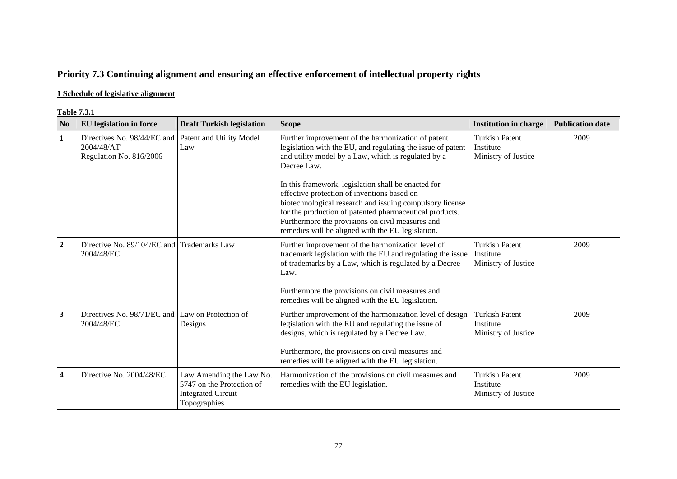# **Priority 7.3 Continuing alignment and ensuring an effective enforcement of intellectual property rights**

## **1 Schedule of legislative alignment**

#### **Table 7.3.1**

| N <sub>0</sub> | <b>EU</b> legislation in force                                       | <b>Draft Turkish legislation</b>                                                                   | <b>Scope</b>                                                                                                                                                                                                                                                                                                                                                                                                                                                                                                                  | <b>Institution in charge</b>                              | <b>Publication date</b> |
|----------------|----------------------------------------------------------------------|----------------------------------------------------------------------------------------------------|-------------------------------------------------------------------------------------------------------------------------------------------------------------------------------------------------------------------------------------------------------------------------------------------------------------------------------------------------------------------------------------------------------------------------------------------------------------------------------------------------------------------------------|-----------------------------------------------------------|-------------------------|
| 1              | Directives No. 98/44/EC and<br>2004/48/AT<br>Regulation No. 816/2006 | Patent and Utility Model<br>Law                                                                    | Further improvement of the harmonization of patent<br>legislation with the EU, and regulating the issue of patent<br>and utility model by a Law, which is regulated by a<br>Decree Law.<br>In this framework, legislation shall be enacted for<br>effective protection of inventions based on<br>biotechnological research and issuing compulsory license<br>for the production of patented pharmaceutical products.<br>Furthermore the provisions on civil measures and<br>remedies will be aligned with the EU legislation. | <b>Turkish Patent</b><br>Institute<br>Ministry of Justice | 2009                    |
| $\overline{2}$ | Directive No. 89/104/EC and Trademarks Law<br>2004/48/EC             |                                                                                                    | Further improvement of the harmonization level of<br>trademark legislation with the EU and regulating the issue<br>of trademarks by a Law, which is regulated by a Decree<br>Law.<br>Furthermore the provisions on civil measures and<br>remedies will be aligned with the EU legislation.                                                                                                                                                                                                                                    | <b>Turkish Patent</b><br>Institute<br>Ministry of Justice | 2009                    |
| $\mathbf{3}$   | Directives No. 98/71/EC and Law on Protection of<br>2004/48/EC       | Designs                                                                                            | Further improvement of the harmonization level of design<br>legislation with the EU and regulating the issue of<br>designs, which is regulated by a Decree Law.<br>Furthermore, the provisions on civil measures and<br>remedies will be aligned with the EU legislation.                                                                                                                                                                                                                                                     | <b>Turkish Patent</b><br>Institute<br>Ministry of Justice | 2009                    |
| 4              | Directive No. 2004/48/EC                                             | Law Amending the Law No.<br>5747 on the Protection of<br><b>Integrated Circuit</b><br>Topographies | Harmonization of the provisions on civil measures and<br>remedies with the EU legislation.                                                                                                                                                                                                                                                                                                                                                                                                                                    | <b>Turkish Patent</b><br>Institute<br>Ministry of Justice | 2009                    |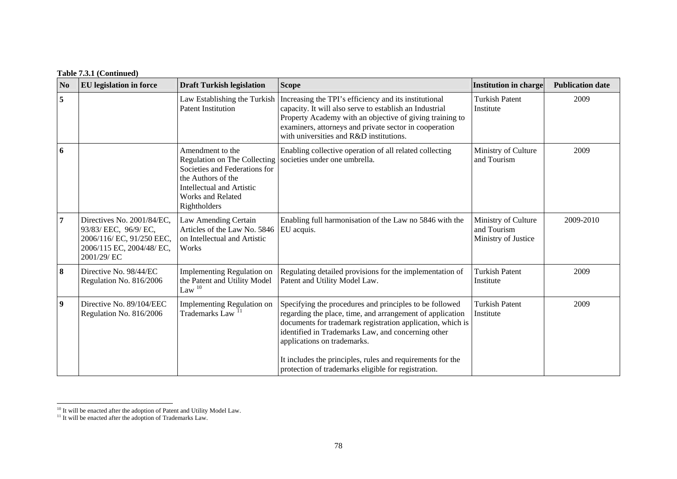| N <sub>0</sub>          | <b>EU</b> legislation in force                                                                                              | <b>Draft Turkish legislation</b>                                                                                                                                                        | <b>Scope</b>                                                                                                                                                                                                                                                                                                                                                                                 | <b>Institution in charge</b>                              | <b>Publication date</b> |
|-------------------------|-----------------------------------------------------------------------------------------------------------------------------|-----------------------------------------------------------------------------------------------------------------------------------------------------------------------------------------|----------------------------------------------------------------------------------------------------------------------------------------------------------------------------------------------------------------------------------------------------------------------------------------------------------------------------------------------------------------------------------------------|-----------------------------------------------------------|-------------------------|
| 5                       |                                                                                                                             | Law Establishing the Turkish<br><b>Patent Institution</b>                                                                                                                               | Increasing the TPI's efficiency and its institutional<br>capacity. It will also serve to establish an Industrial<br>Property Academy with an objective of giving training to<br>examiners, attorneys and private sector in cooperation<br>with universities and R&D institutions.                                                                                                            | <b>Turkish Patent</b><br>Institute                        | 2009                    |
| 6                       |                                                                                                                             | Amendment to the<br>Regulation on The Collecting<br>Societies and Federations for<br>the Authors of the<br><b>Intellectual and Artistic</b><br><b>Works and Related</b><br>Rightholders | Enabling collective operation of all related collecting<br>societies under one umbrella.                                                                                                                                                                                                                                                                                                     | Ministry of Culture<br>and Tourism                        | 2009                    |
| $\overline{7}$          | Directives No. 2001/84/EC,<br>93/83/ EEC, 96/9/ EC,<br>2006/116/ EC, 91/250 EEC,<br>2006/115 EC, 2004/48/ EC,<br>2001/29/EC | Law Amending Certain<br>Articles of the Law No. 5846<br>on Intellectual and Artistic<br>Works                                                                                           | Enabling full harmonisation of the Law no 5846 with the<br>EU acquis.                                                                                                                                                                                                                                                                                                                        | Ministry of Culture<br>and Tourism<br>Ministry of Justice | 2009-2010               |
| 8                       | Directive No. 98/44/EC<br>Regulation No. 816/2006                                                                           | <b>Implementing Regulation on</b><br>the Patent and Utility Model<br>Law $10$                                                                                                           | Regulating detailed provisions for the implementation of<br>Patent and Utility Model Law.                                                                                                                                                                                                                                                                                                    | <b>Turkish Patent</b><br>Institute                        | 2009                    |
| $\overline{\mathbf{9}}$ | Directive No. 89/104/EEC<br>Regulation No. 816/2006                                                                         | Implementing Regulation on<br>Trademarks Law <sup>11</sup>                                                                                                                              | Specifying the procedures and principles to be followed<br>regarding the place, time, and arrangement of application<br>documents for trademark registration application, which is<br>identified in Trademarks Law, and concerning other<br>applications on trademarks.<br>It includes the principles, rules and requirements for the<br>protection of trademarks eligible for registration. | <b>Turkish Patent</b><br>Institute                        | 2009                    |

<span id="page-9-0"></span><sup>&</sup>lt;sup>10</sup> It will be enacted after the adoption of Patent and Utility Model Law.

<span id="page-9-1"></span> $11$  It will be enacted after the adoption of Trademarks Law.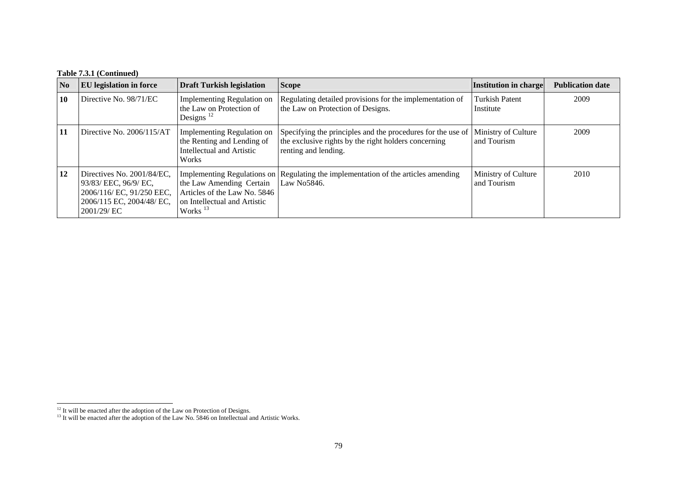### **Table 7.3.1 (Continued)**

| N <sub>0</sub> | <b>EU</b> legislation in force                                                                                              | <b>Draft Turkish legislation</b>                                                                       | <b>Scope</b>                                                                                                                                | Institution in charge              | <b>Publication date</b> |
|----------------|-----------------------------------------------------------------------------------------------------------------------------|--------------------------------------------------------------------------------------------------------|---------------------------------------------------------------------------------------------------------------------------------------------|------------------------------------|-------------------------|
| 10             | Directive No. 98/71/EC                                                                                                      | Implementing Regulation on<br>the Law on Protection of<br>Designs $12$                                 | Regulating detailed provisions for the implementation of<br>the Law on Protection of Designs.                                               | <b>Turkish Patent</b><br>Institute | 2009                    |
| 11             | Directive No. $2006/115/AT$                                                                                                 | Implementing Regulation on<br>the Renting and Lending of<br>Intellectual and Artistic<br>Works         | Specifying the principles and the procedures for the use of<br>the exclusive rights by the right holders concerning<br>renting and lending. | Ministry of Culture<br>and Tourism | 2009                    |
| 12             | Directives No. 2001/84/EC.<br>93/83/ EEC, 96/9/ EC,<br>2006/116/ EC, 91/250 EEC,<br>2006/115 EC, 2004/48/ EC,<br>2001/29/EC | the Law Amending Certain<br>Articles of the Law No. 5846<br>on Intellectual and Artistic<br>Works $13$ | Implementing Regulations on Regulating the implementation of the articles amending<br>Law No <sub>5846</sub> .                              | Ministry of Culture<br>and Tourism | 2010                    |

<span id="page-10-1"></span><span id="page-10-0"></span> $12$  It will be enacted after the adoption of the Law on Protection of Designs.

<sup>&</sup>lt;sup>13</sup> It will be enacted after the adoption of the Law No. 5846 on Intellectual and Artistic Works.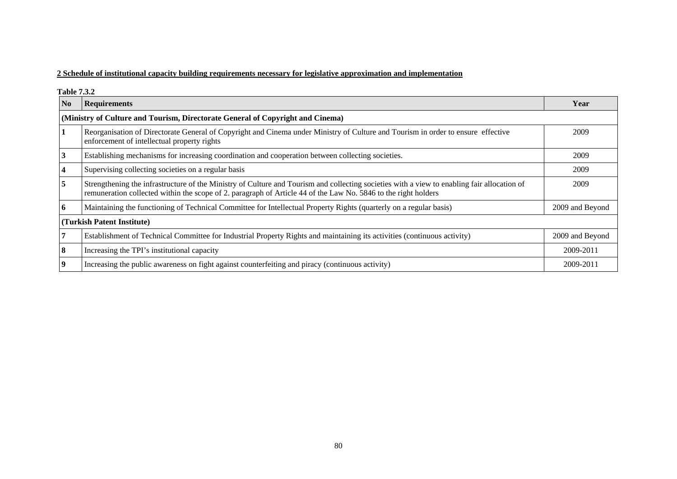### **2 Schedule of institutional capacity building requirements necessary for legislative approximation and implementation**

**Table 7.3.2** 

| N <sub>0</sub>                                                                 | <b>Requirements</b>                                                                                                                                                                                                                                           | Year            |  |  |  |  |  |
|--------------------------------------------------------------------------------|---------------------------------------------------------------------------------------------------------------------------------------------------------------------------------------------------------------------------------------------------------------|-----------------|--|--|--|--|--|
| (Ministry of Culture and Tourism, Directorate General of Copyright and Cinema) |                                                                                                                                                                                                                                                               |                 |  |  |  |  |  |
|                                                                                | Reorganisation of Directorate General of Copyright and Cinema under Ministry of Culture and Tourism in order to ensure effective<br>enforcement of intellectual property rights                                                                               | 2009            |  |  |  |  |  |
| 3                                                                              | Establishing mechanisms for increasing coordination and cooperation between collecting societies.                                                                                                                                                             | 2009            |  |  |  |  |  |
|                                                                                | Supervising collecting societies on a regular basis                                                                                                                                                                                                           | 2009            |  |  |  |  |  |
| 5                                                                              | Strengthening the infrastructure of the Ministry of Culture and Tourism and collecting societies with a view to enabling fair allocation of<br>remuneration collected within the scope of 2. paragraph of Article 44 of the Law No. 5846 to the right holders | 2009            |  |  |  |  |  |
| $\mathbf b$                                                                    | Maintaining the functioning of Technical Committee for Intellectual Property Rights (quarterly on a regular basis)                                                                                                                                            | 2009 and Beyond |  |  |  |  |  |
| (Turkish Patent Institute)                                                     |                                                                                                                                                                                                                                                               |                 |  |  |  |  |  |
|                                                                                | Establishment of Technical Committee for Industrial Property Rights and maintaining its activities (continuous activity)                                                                                                                                      | 2009 and Beyond |  |  |  |  |  |
| 8                                                                              | Increasing the TPI's institutional capacity                                                                                                                                                                                                                   | 2009-2011       |  |  |  |  |  |
| 9                                                                              | Increasing the public awareness on fight against counterfeiting and piracy (continuous activity)                                                                                                                                                              | 2009-2011       |  |  |  |  |  |